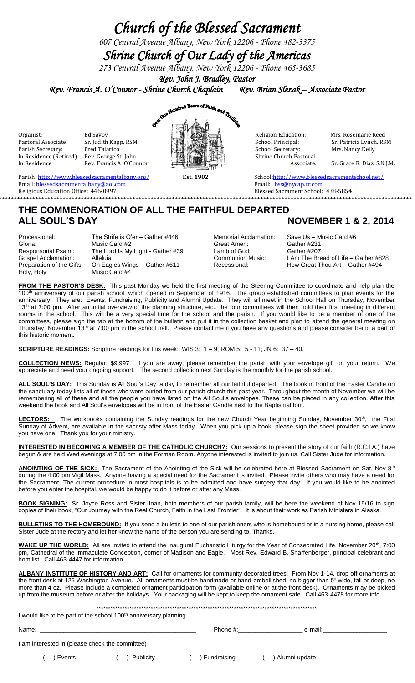# *Church of the Blessed Sacrament*

*607 Central Avenue Albany, New York 12206 - Phone 482-3375*

*Shrine Church of Our Lady of the Americas* 

*273 Central Avenue Albany, New York 12206 - Phone 465-3685*

*Rev. John J. Bradley, Pastor* 

*Rev. Francis A. O'Connor - Shrine Church Chaplain Rev. Brian Slezak – Associate Pastor* 



School Principal: Sr. Patricia Lynch, RSM<br>
School Secretary: Mrs. Nancy Kelly

Parish[: http://www.blessedsacramentalbany.org/](http://www.blessedsacramentalbany.org/) Est. 1902 School[:http://www.blessedsacramentschool.net/](http://www.blessedsacramentschool.net/) Email: <u>blessedsacramentalbany@aol.com</u> email: https://www.email: https://www.email: https://www.email: https://www.email: https://www.email: https://www.email: https://www.email: https://www.email: https://www.email: http

# **\*\*\*\*\*\*\*\*\*\*\*\*\*\*\*\*\*\*\*\*\*\*\*\*\*\*\*\*\*\*\*\*\*\*\*\*\*\*\*\*\*\*\*\*\*\*\*\*\*\*\*\*\*\*\*\*\*\*\*\*\*\*\*\*\*\*\*\*\*\*\*\*\*\*\*\*\*\*\*\*\*\*\*\*\*\*\*\*\*\*\*\*\*\*\*\*\*\*\*\*\*\*\*\*\*\*\*\*\*\*\*\*\*\*\*\*\*\*\*\*\*\*\*\*\*\*\*\*\*\*\*\*\*\*\*\*\* THE COMMENORATION OF ALL THE FAITHFUL DEPARTED** ALL SOUL'S DAY **NOVEMBER 1 & 2, 2014**

Processional: The Strife is O'er – Gather #446 Memorial Acclamation: Save Us – Music Card #6<br>Gloria: Gloria: Music Card #2 Great Amen: Gather #231 Gloria: Music Card #2 Great Amen:<br>
Responsorial Psalm: The Lord Is My Light - Gather #39 (amb of God: Responsorial Psalm: The Lord Is My Light - Gather #39 Lamb of God: Gather #207<br>Gospel Acclamation: Alleluia Communion Music: I Am The Bre Gospel Acclamation: Alleluia Communion Music: I Am The Bread of Life – Gather #828<br>Preparation of the Gifts: On Eagles Wings – Gather #611 Recessional: How Great Thou Art – Gather #494 On Eagles Wings – Gather #611 Holy, Holy: Music Card #4

Religious Education Office: 446-0997Blessed Sacrament School: 438-5854

**FROM THE PASTOR'S DESK:** This past Monday we held the first meeting of the Steering Committee to coordinate and help plan the 100<sup>th</sup> anniversary of our parish school, which opened in September of 1916. The group established committees to plan events for the anniversary. They are: Events, Fundraising, Publicity and Alumni Update. They will all meet in the School Hall on Thursday, November 13<sup>th</sup> at 7:00 pm. After an initial overview of the planning structure, etc., the four committees will then hold their first meeting in different rooms in the school. This will be a very special time for the school and the parish. If you would like to be a member of one of the committees, please sign the tab at the bottom of the bulletin and put it in the collection basket and plan to attend the general meeting on Thursday, November 13<sup>th</sup> at 7:00 pm in the school hall. Please contact me if you have any questions and please consider being a part of this historic moment.

**SCRIPTURE READINGS:** Scripture readings for this week: WIS 3: 1 – 9; ROM 5: 5 - 11; JN 6: 37 – 40.

**COLLECTION NEWS:** Regular: \$9,997. If you are away, please remember the parish with your envelope gift on your return. We appreciate and need your ongoing support. The second collection next Sunday is the monthly for the parish school.

ALL SOUL'S DAY: This Sunday is All Soul's Day, a day to remember all our faithful departed. The book in front of the Easter Candle on the sanctuary today lists all of those who were buried from our parish church this past year. Throughout the month of November we will be remembering all of these and all the people you have listed on the All Soul's envelopes. These can be placed in any collection. After this weekend the book and All Soul's envelopes will be in front of the Easter Candle next to the Baptismal font.

LECTORS: The workbooks containing the Sunday readings for the new Church Year beginning Sunday, November 30<sup>th</sup>, the First Sunday of Advent, are available in the sacristy after Mass today. When you pick up a book, please sign the sheet provided so we know you have one. Thank you for your ministry.

**INTERESTED IN BECOMING A MEMBER OF THE CATHOLIC CHURCH?:** Our sessions to present the story of our faith (R.C.I.A.) have begun & are held Wed evenings at 7:00 pm in the Forman Room. Anyone interested is invited to join us. Call Sister Jude for information.

ANOINTING OF THE SICK: The Sacrament of the Anointing of the Sick will be celebrated here at Blessed Sacrament on Sat, Nov 8<sup>th</sup> during the 4:00 pm Vigil Mass. Anyone having a special need for the Sacrament is invited. Please invite others who may have a need for the Sacrament. The current procedure in most hospitals is to be admitted and have surgery that day. If you would like to be anointed before you enter the hospital, we would be happy to do it before or after any Mass.

**BOOK SIGNING:** Sr. Joyce Ross and Sister Joan, both members of our parish family, will be here the weekend of Nov 15/16 to sign copies of their book, "Our Journey with the Real Church, Faith in the Last Frontier". It is about their work as Parish Ministers in Alaska.

BULLETINS TO THE HOMEBOUND: If you send a bulletin to one of our parishioners who is homebound or in a nursing home, please call Sister Jude at the rectory and let her know the name of the person you are sending to. Thanks.

WAKE UP THE WORLD: All are invited to attend the inaugural Eucharistic Liturgy for the Year of Consecrated Life, November 20<sup>th</sup>, 7:00 pm, Cathedral of the Immaculate Conception, corner of Madison and Eagle, Most Rev. Edward B. Sharfenberger, principal celebrant and homilist. Call 463-4447 for information.

**ALBANY INSTITUTE OF HISTORY AND ART:** Call for ornaments for community decorated trees. From Nov 1-14, drop off ornaments at the front desk at 125 Washington Avenue. All ornaments must be handmade or hand-embellished, no bigger than 5" wide, tall or deep, no more than 4 oz. Please include a completed ornament participation form (available online or at the front desk). Ornaments may be picked up from the museum before or after the holidays. Your packaging will be kept to keep the ornament safe. Call 463-4478 for more info.

\*\*\*\*\*\*\*\*\*\*\*\*\*\*\*\*\*\*\*\*\*\*\*\*\*\*\*\*\*\*\*\*\*\*\*\*\*\*\*\*\*\*\*\*\*\*\*\*\*\*\*\*\*\*\*\*\*\*\*\*\*\*\*\*\*\*\*\*\*\*\*\*\*\*\*\*\*\*\*\*\*\*\*\*\*\*\*\*\*\*\*\*\*

I would like to be part of the school 100<sup>th</sup> anniversary planning.

Name: \_\_\_\_\_\_\_\_\_\_\_\_\_\_\_\_\_\_\_\_\_\_\_\_\_\_\_\_\_\_\_\_\_\_\_\_\_\_\_\_\_\_\_\_\_\_ Phone #;\_\_\_\_\_\_\_\_\_\_\_\_\_\_\_\_\_\_\_ e-mail:\_\_\_\_\_\_\_\_\_\_\_\_\_\_\_\_\_\_\_

I am interested in (please check the committee) :

( ) Events ( ) Publicity ( ) Fundraising ( ) Alumni update